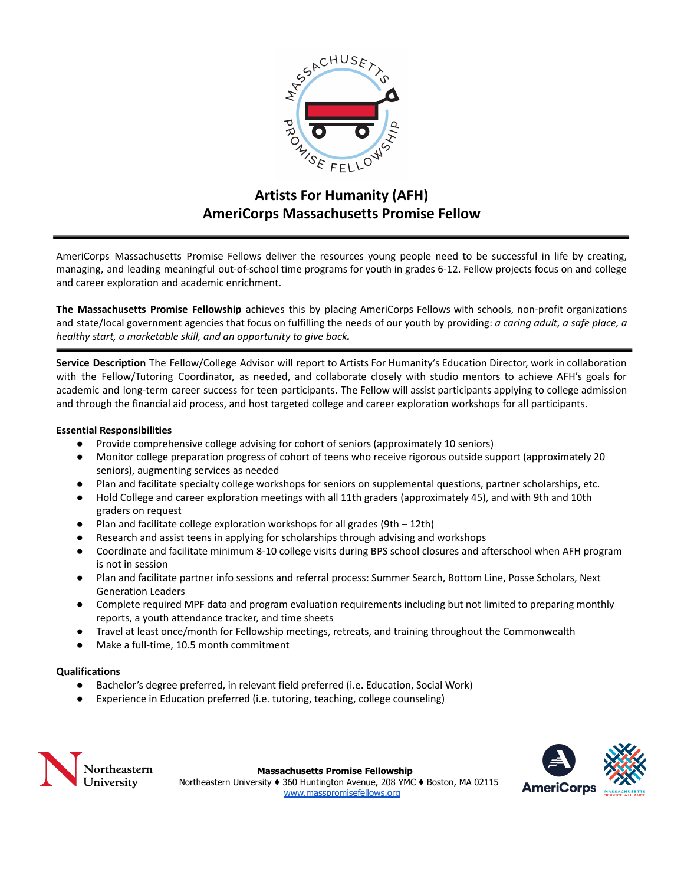

# **Artists For Humanity (AFH) AmeriCorps Massachusetts Promise Fellow**

AmeriCorps Massachusetts Promise Fellows deliver the resources young people need to be successful in life by creating, managing, and leading meaningful out-of-school time programs for youth in grades 6-12. Fellow projects focus on and college and career exploration and academic enrichment.

**The Massachusetts Promise Fellowship** achieves this by placing AmeriCorps Fellows with schools, non-profit organizations and state/local government agencies that focus on fulfilling the needs of our youth by providing: *a caring adult, a safe place, a healthy start, a marketable skill, and an opportunity to give back.*

**Service Description** The Fellow/College Advisor will report to Artists For Humanity's Education Director, work in collaboration with the Fellow/Tutoring Coordinator, as needed, and collaborate closely with studio mentors to achieve AFH's goals for academic and long-term career success for teen participants. The Fellow will assist participants applying to college admission and through the financial aid process, and host targeted college and career exploration workshops for all participants.

# **Essential Responsibilities**

- Provide comprehensive college advising for cohort of seniors (approximately 10 seniors)
- Monitor college preparation progress of cohort of teens who receive rigorous outside support (approximately 20 seniors), augmenting services as needed
- Plan and facilitate specialty college workshops for seniors on supplemental questions, partner scholarships, etc.
- Hold College and career exploration meetings with all 11th graders (approximately 45), and with 9th and 10th graders on request
- Plan and facilitate college exploration workshops for all grades (9th  $-$  12th)
- Research and assist teens in applying for scholarships through advising and workshops
- Coordinate and facilitate minimum 8-10 college visits during BPS school closures and afterschool when AFH program is not in session
- Plan and facilitate partner info sessions and referral process: Summer Search, Bottom Line, Posse Scholars, Next Generation Leaders
- Complete required MPF data and program evaluation requirements including but not limited to preparing monthly reports, a youth attendance tracker, and time sheets
- Travel at least once/month for Fellowship meetings, retreats, and training throughout the Commonwealth
- Make a full-time, 10.5 month commitment

# **Qualifications**

- Bachelor's degree preferred, in relevant field preferred (i.e. Education, Social Work)
- Experience in Education preferred (i.e. tutoring, teaching, college counseling)



**Massachusetts Promise Fellowship** Northeastern University ♦ 360 Huntington Avenue, 208 YMC ♦ Boston, MA 02115 [www.masspromisefellows.org](http://www.masspromisefellows.org)